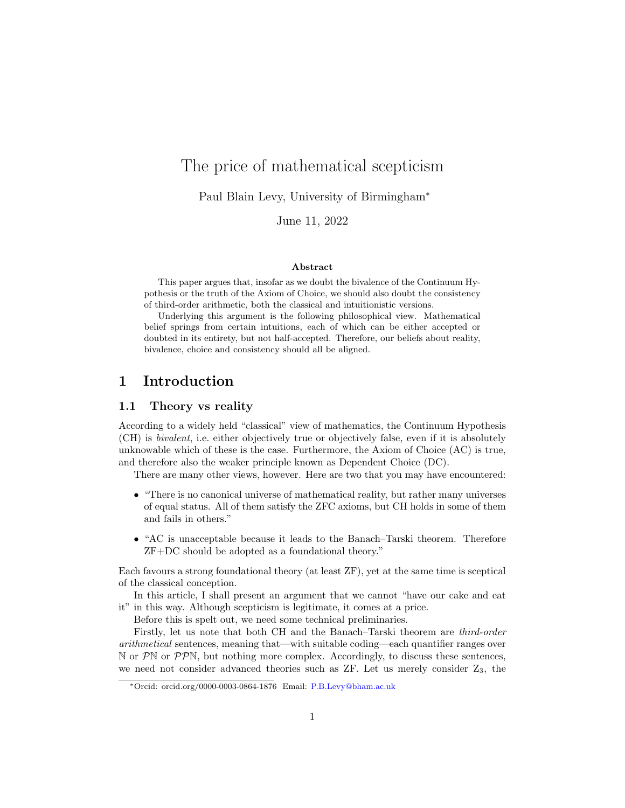# The price of mathematical scepticism

Paul Blain Levy, University of Birmingham<sup>∗</sup>

June 11, 2022

#### Abstract

This paper argues that, insofar as we doubt the bivalence of the Continuum Hypothesis or the truth of the Axiom of Choice, we should also doubt the consistency of third-order arithmetic, both the classical and intuitionistic versions.

Underlying this argument is the following philosophical view. Mathematical belief springs from certain intuitions, each of which can be either accepted or doubted in its entirety, but not half-accepted. Therefore, our beliefs about reality, bivalence, choice and consistency should all be aligned.

### 1 Introduction

### 1.1 Theory vs reality

According to a widely held "classical" view of mathematics, the Continuum Hypothesis (CH) is bivalent, i.e. either objectively true or objectively false, even if it is absolutely unknowable which of these is the case. Furthermore, the Axiom of Choice (AC) is true, and therefore also the weaker principle known as Dependent Choice (DC).

There are many other views, however. Here are two that you may have encountered:

- "There is no canonical universe of mathematical reality, but rather many universes of equal status. All of them satisfy the ZFC axioms, but CH holds in some of them and fails in others."
- "AC is unacceptable because it leads to the Banach–Tarski theorem. Therefore ZF+DC should be adopted as a foundational theory."

Each favours a strong foundational theory (at least ZF), yet at the same time is sceptical of the classical conception.

In this article, I shall present an argument that we cannot "have our cake and eat it" in this way. Although scepticism is legitimate, it comes at a price.

Before this is spelt out, we need some technical preliminaries.

Firstly, let us note that both CH and the Banach–Tarski theorem are third-order arithmetical sentences, meaning that—with suitable coding—each quantifier ranges over  $\mathbb N$  or  $\mathcal P\mathbb N$  or  $\mathcal P\mathcal P\mathbb N$ , but nothing more complex. Accordingly, to discuss these sentences, we need not consider advanced theories such as  $ZF$ . Let us merely consider  $Z_3$ , the

<sup>∗</sup>Orcid: orcid.org/0000-0003-0864-1876 Email: [P.B.Levy@bham.ac.uk](mailto:P.B.Levy@bham.ac.uk)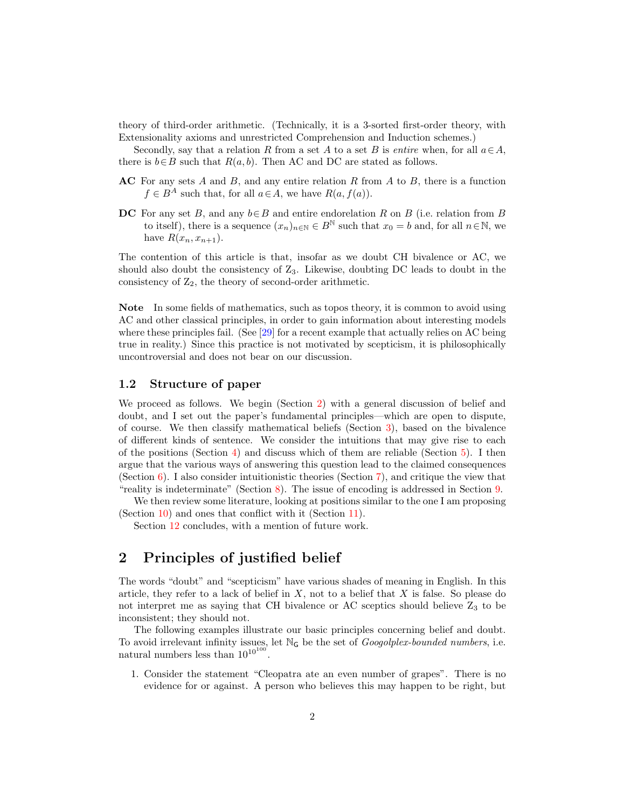theory of third-order arithmetic. (Technically, it is a 3-sorted first-order theory, with Extensionality axioms and unrestricted Comprehension and Induction schemes.)

Secondly, say that a relation R from a set A to a set B is entire when, for all  $a \in A$ , there is  $b \in B$  such that  $R(a, b)$ . Then AC and DC are stated as follows.

- $AC$  For any sets A and B, and any entire relation R from A to B, there is a function  $f \in B^A$  such that, for all  $a \in A$ , we have  $R(a, f(a))$ .
- DC For any set B, and any  $b \in B$  and entire endorelation R on B (i.e. relation from B to itself), there is a sequence  $(x_n)_{n\in\mathbb{N}}\in B^{\mathbb{N}}$  such that  $x_0=b$  and, for all  $n\in\mathbb{N}$ , we have  $R(x_n, x_{n+1})$ .

The contention of this article is that, insofar as we doubt CH bivalence or AC, we should also doubt the consistency of Z3. Likewise, doubting DC leads to doubt in the consistency of  $Z_2$ , the theory of second-order arithmetic.

Note In some fields of mathematics, such as topos theory, it is common to avoid using AC and other classical principles, in order to gain information about interesting models where these principles fail. (See [\[29\]](#page-18-0) for a recent example that actually relies on AC being true in reality.) Since this practice is not motivated by scepticism, it is philosophically uncontroversial and does not bear on our discussion.

### 1.2 Structure of paper

We proceed as follows. We begin (Section [2\)](#page-1-0) with a general discussion of belief and doubt, and I set out the paper's fundamental principles—which are open to dispute, of course. We then classify mathematical beliefs (Section [3\)](#page-3-0), based on the bivalence of different kinds of sentence. We consider the intuitions that may give rise to each of the positions (Section [4\)](#page-5-0) and discuss which of them are reliable (Section  $5$ ). I then argue that the various ways of answering this question lead to the claimed consequences (Section [6\)](#page-8-0). I also consider intuitionistic theories (Section [7\)](#page-9-0), and critique the view that "reality is indeterminate" (Section [8\)](#page-10-0). The issue of encoding is addressed in Section [9.](#page-11-0)

We then review some literature, looking at positions similar to the one I am proposing (Section [10\)](#page-12-0) and ones that conflict with it (Section [11\)](#page-14-0).

Section [12](#page-16-0) concludes, with a mention of future work.

# <span id="page-1-0"></span>2 Principles of justified belief

The words "doubt" and "scepticism" have various shades of meaning in English. In this article, they refer to a lack of belief in  $X$ , not to a belief that  $X$  is false. So please do not interpret me as saying that CH bivalence or AC sceptics should believe  $Z_3$  to be inconsistent; they should not.

The following examples illustrate our basic principles concerning belief and doubt. To avoid irrelevant infinity issues, let  $\mathbb{N}_G$  be the set of *Googolplex-bounded numbers*, i.e. natural numbers less than  $10^{10^{100}}$ .

1. Consider the statement "Cleopatra ate an even number of grapes". There is no evidence for or against. A person who believes this may happen to be right, but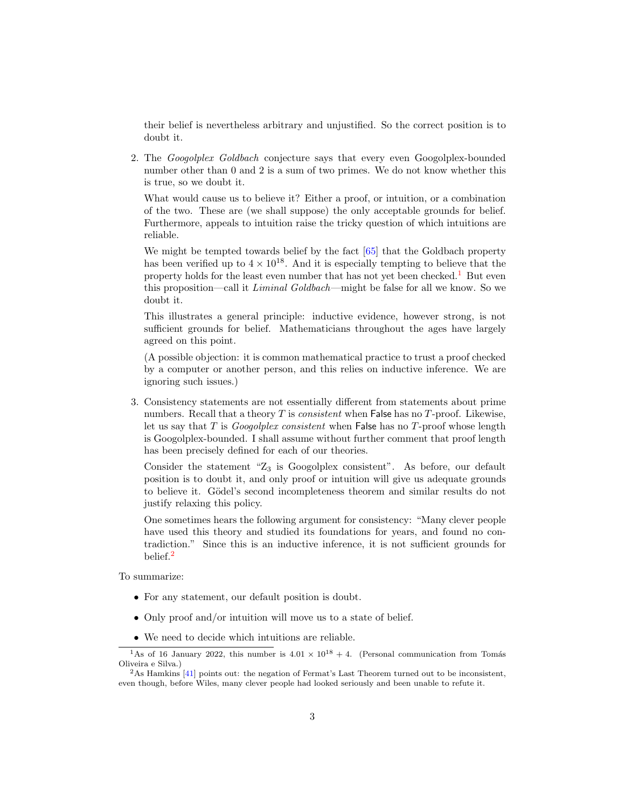their belief is nevertheless arbitrary and unjustified. So the correct position is to doubt it.

2. The *Googolplex Goldbach* conjecture says that every even Googolplex-bounded number other than 0 and 2 is a sum of two primes. We do not know whether this is true, so we doubt it.

What would cause us to believe it? Either a proof, or intuition, or a combination of the two. These are (we shall suppose) the only acceptable grounds for belief. Furthermore, appeals to intuition raise the tricky question of which intuitions are reliable.

We might be tempted towards belief by the fact  $[65]$  that the Goldbach property has been verified up to  $4 \times 10^{18}$ . And it is especially tempting to believe that the property holds for the least even number that has not yet been checked.<sup>[1](#page-2-0)</sup> But even this proposition—call it Liminal Goldbach—might be false for all we know. So we doubt it.

This illustrates a general principle: inductive evidence, however strong, is not sufficient grounds for belief. Mathematicians throughout the ages have largely agreed on this point.

(A possible objection: it is common mathematical practice to trust a proof checked by a computer or another person, and this relies on inductive inference. We are ignoring such issues.)

3. Consistency statements are not essentially different from statements about prime numbers. Recall that a theory  $T$  is *consistent* when False has no  $T$ -proof. Likewise, let us say that  $T$  is *Googolplex consistent* when False has no  $T$ -proof whose length is Googolplex-bounded. I shall assume without further comment that proof length has been precisely defined for each of our theories.

Consider the statement " $Z_3$  is Googolplex consistent". As before, our default position is to doubt it, and only proof or intuition will give us adequate grounds to believe it. Gödel's second incompleteness theorem and similar results do not justify relaxing this policy.

One sometimes hears the following argument for consistency: "Many clever people have used this theory and studied its foundations for years, and found no contradiction." Since this is an inductive inference, it is not sufficient grounds for belief.[2](#page-2-1)

To summarize:

- For any statement, our default position is doubt.
- Only proof and/or intuition will move us to a state of belief.
- <span id="page-2-0"></span>• We need to decide which intuitions are reliable.

<sup>&</sup>lt;sup>1</sup>As of 16 January 2022, this number is  $4.01 \times 10^{18} + 4$ . (Personal communication from Tomás Oliveira e Silva.)

<span id="page-2-1"></span> $^{2}$ As Hamkins [\[41\]](#page-19-0) points out: the negation of Fermat's Last Theorem turned out to be inconsistent, even though, before Wiles, many clever people had looked seriously and been unable to refute it.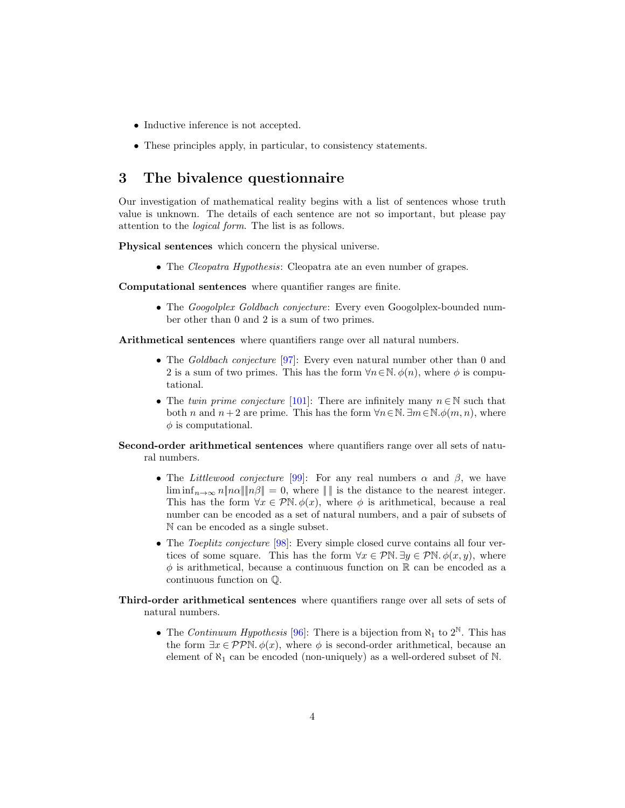- Inductive inference is not accepted.
- These principles apply, in particular, to consistency statements.

# <span id="page-3-0"></span>3 The bivalence questionnaire

Our investigation of mathematical reality begins with a list of sentences whose truth value is unknown. The details of each sentence are not so important, but please pay attention to the logical form. The list is as follows.

Physical sentences which concern the physical universe.

• The *Cleopatra Hypothesis*: Cleopatra ate an even number of grapes.

Computational sentences where quantifier ranges are finite.

• The *Googolplex Goldbach conjecture*: Every even Googolplex-bounded number other than 0 and 2 is a sum of two primes.

Arithmetical sentences where quantifiers range over all natural numbers.

- The Goldbach conjecture [\[97\]](#page-22-0): Every even natural number other than 0 and 2 is a sum of two primes. This has the form  $\forall n \in \mathbb{N}$ .  $\phi(n)$ , where  $\phi$  is computational.
- The twin prime conjecture [\[101\]](#page-22-1): There are infinitely many  $n \in \mathbb{N}$  such that both n and  $n+2$  are prime. This has the form  $\forall n \in \mathbb{N}$ .  $\exists m \in \mathbb{N}$ . $\phi(m, n)$ , where  $\phi$  is computational.
- Second-order arithmetical sentences where quantifiers range over all sets of natural numbers.
	- The Littlewood conjecture [\[99\]](#page-22-2): For any real numbers  $\alpha$  and  $\beta$ , we have  $\liminf_{n\to\infty} n\|n\alpha\| \|\overline{n}\beta\| = 0$ , where  $\|\cdot\|$  is the distance to the nearest integer. This has the form  $\forall x \in \mathcal{P} \mathbb{N}$ .  $\phi(x)$ , where  $\phi$  is arithmetical, because a real number can be encoded as a set of natural numbers, and a pair of subsets of N can be encoded as a single subset.
	- The *Toeplitz conjecture* [\[98\]](#page-22-3): Every simple closed curve contains all four vertices of some square. This has the form  $\forall x \in \mathcal{P} \mathbb{N}$ .  $\exists y \in \mathcal{P} \mathbb{N}$ .  $\phi(x, y)$ , where  $\phi$  is arithmetical, because a continuous function on  $\mathbb R$  can be encoded as a continuous function on Q.

#### Third-order arithmetical sentences where quantifiers range over all sets of sets of natural numbers.

• The Continuum Hypothesis [\[96\]](#page-22-4): There is a bijection from  $\aleph_1$  to  $2^{\mathbb{N}}$ . This has the form  $\exists x \in \mathcal{PPN}$ .  $\phi(x)$ , where  $\phi$  is second-order arithmetical, because an element of  $\aleph_1$  can be encoded (non-uniquely) as a well-ordered subset of  $\aleph$ .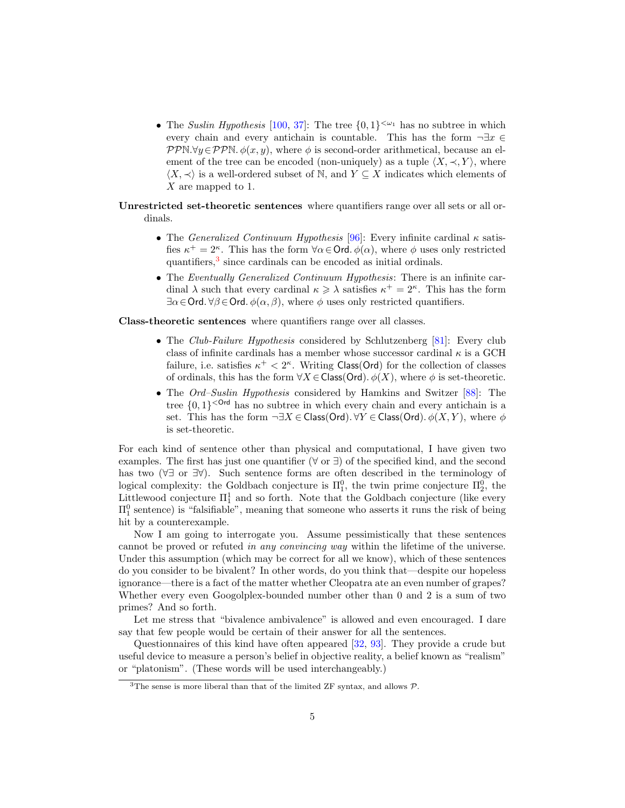- The Suslin Hypothesis [\[100,](#page-22-5) [37\]](#page-19-1): The tree  $\{0,1\}^{<\omega_1}$  has no subtree in which every chain and every antichain is countable. This has the form  $\neg \exists x \in$  $PPN.\forall y \in PPN.\phi(x, y)$ , where  $\phi$  is second-order arithmetical, because an element of the tree can be encoded (non-uniquely) as a tuple  $\langle X, \prec, Y \rangle$ , where  $\langle X, \prec \rangle$  is a well-ordered subset of N, and  $Y \subseteq X$  indicates which elements of X are mapped to 1.
- Unrestricted set-theoretic sentences where quantifiers range over all sets or all ordinals.
	- The *Generalized Continuum Hypothesis* [\[96\]](#page-22-4): Every infinite cardinal  $\kappa$  satisfies  $\kappa^+ = 2^{\kappa}$ . This has the form  $\forall \alpha \in \mathsf{Ord}.\ \phi(\alpha)$ , where  $\phi$  uses only restricted quantifiers,<sup>[3](#page-4-0)</sup> since cardinals can be encoded as initial ordinals.
	- The Eventually Generalized Continuum Hypothesis: There is an infinite cardinal  $\lambda$  such that every cardinal  $\kappa \geq \lambda$  satisfies  $\kappa^+ = 2^{\kappa}$ . This has the form  $\exists \alpha \in \mathsf{Ord}.\ \forall \beta \in \mathsf{Ord}. \phi(\alpha, \beta), \text{ where } \phi \text{ uses only restricted quantifiers.}$

Class-theoretic sentences where quantifiers range over all classes.

- The Club-Failure Hypothesis considered by Schlutzenberg [\[81\]](#page-21-0): Every club class of infinite cardinals has a member whose successor cardinal  $\kappa$  is a GCH failure, i.e. satisfies  $\kappa^+ < 2^{\kappa}$ . Writing Class(Ord) for the collection of classes of ordinals, this has the form  $\forall X \in Class(Ord)$ .  $\phi(X)$ , where  $\phi$  is set-theoretic.
- The Ord-Suslin Hypothesis considered by Hamkins and Switzer [\[88\]](#page-22-6): The tree  $\{0,1\}$ <sup><Ord</sup> has no subtree in which every chain and every antichain is a set. This has the form  $\neg \exists X \in Class(Ord) \forall Y \in Class(Ord) \in \phi(X, Y)$ , where  $\phi$ is set-theoretic.

For each kind of sentence other than physical and computational, I have given two examples. The first has just one quantifier ( $\forall$  or  $\exists$ ) of the specified kind, and the second has two (∀∃ or ∃∀). Such sentence forms are often described in the terminology of logical complexity: the Goldbach conjecture is  $\Pi_1^0$ , the twin prime conjecture  $\Pi_2^0$ , the Littlewood conjecture  $\Pi_1^1$  and so forth. Note that the Goldbach conjecture (like every  $\Pi_1^0$  sentence) is "falsifiable", meaning that someone who asserts it runs the risk of being hit by a counterexample.

Now I am going to interrogate you. Assume pessimistically that these sentences cannot be proved or refuted in any convincing way within the lifetime of the universe. Under this assumption (which may be correct for all we know), which of these sentences do you consider to be bivalent? In other words, do you think that—despite our hopeless ignorance—there is a fact of the matter whether Cleopatra ate an even number of grapes? Whether every even Googolplex-bounded number other than 0 and 2 is a sum of two primes? And so forth.

Let me stress that "bivalence ambivalence" is allowed and even encouraged. I dare say that few people would be certain of their answer for all the sentences.

Questionnaires of this kind have often appeared [\[32,](#page-18-1) [93\]](#page-22-7). They provide a crude but useful device to measure a person's belief in objective reality, a belief known as "realism" or "platonism". (These words will be used interchangeably.)

<span id="page-4-0"></span><sup>&</sup>lt;sup>3</sup>The sense is more liberal than that of the limited ZF syntax, and allows  $P$ .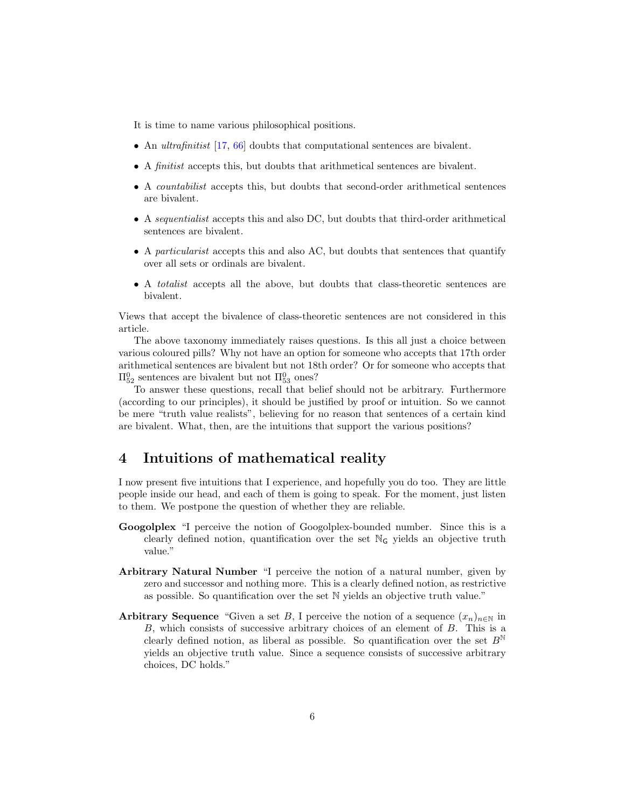It is time to name various philosophical positions.

- An *ultrafinitist* [\[17,](#page-17-0) [66\]](#page-20-1) doubts that computational sentences are bivalent.
- A finitist accepts this, but doubts that arithmetical sentences are bivalent.
- A countabilist accepts this, but doubts that second-order arithmetical sentences are bivalent.
- A sequentialist accepts this and also DC, but doubts that third-order arithmetical sentences are bivalent.
- A particularist accepts this and also AC, but doubts that sentences that quantify over all sets or ordinals are bivalent.
- A totalist accepts all the above, but doubts that class-theoretic sentences are bivalent.

Views that accept the bivalence of class-theoretic sentences are not considered in this article.

The above taxonomy immediately raises questions. Is this all just a choice between various coloured pills? Why not have an option for someone who accepts that 17th order arithmetical sentences are bivalent but not 18th order? Or for someone who accepts that  $\Pi_{52}^0$  sentences are bivalent but not  $\Pi_{53}^0$  ones?

To answer these questions, recall that belief should not be arbitrary. Furthermore (according to our principles), it should be justified by proof or intuition. So we cannot be mere "truth value realists", believing for no reason that sentences of a certain kind are bivalent. What, then, are the intuitions that support the various positions?

### <span id="page-5-0"></span>4 Intuitions of mathematical reality

I now present five intuitions that I experience, and hopefully you do too. They are little people inside our head, and each of them is going to speak. For the moment, just listen to them. We postpone the question of whether they are reliable.

- Googolplex "I perceive the notion of Googolplex-bounded number. Since this is a clearly defined notion, quantification over the set  $\mathbb{N}_G$  yields an objective truth value."
- Arbitrary Natural Number "I perceive the notion of a natural number, given by zero and successor and nothing more. This is a clearly defined notion, as restrictive as possible. So quantification over the set N yields an objective truth value."
- Arbitrary Sequence "Given a set B, I perceive the notion of a sequence  $(x_n)_{n\in\mathbb{N}}$  in B, which consists of successive arbitrary choices of an element of B. This is a clearly defined notion, as liberal as possible. So quantification over the set  $B^{\mathbb{N}}$ yields an objective truth value. Since a sequence consists of successive arbitrary choices, DC holds."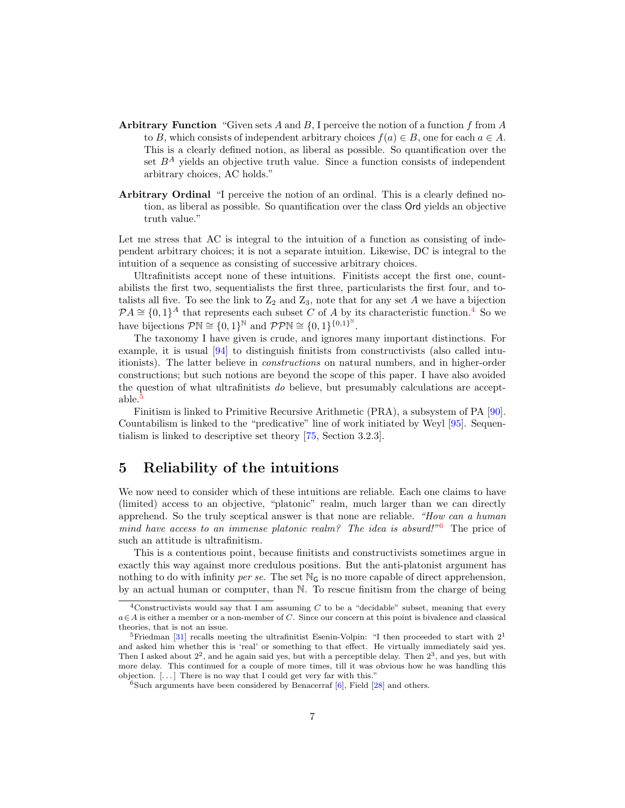- Arbitrary Function "Given sets A and B, I perceive the notion of a function f from A to B, which consists of independent arbitrary choices  $f(a) \in B$ , one for each  $a \in A$ . This is a clearly defined notion, as liberal as possible. So quantification over the set  $B^A$  yields an objective truth value. Since a function consists of independent arbitrary choices, AC holds."
- Arbitrary Ordinal "I perceive the notion of an ordinal. This is a clearly defined notion, as liberal as possible. So quantification over the class Ord yields an objective truth value."

Let me stress that AC is integral to the intuition of a function as consisting of independent arbitrary choices; it is not a separate intuition. Likewise, DC is integral to the intuition of a sequence as consisting of successive arbitrary choices.

Ultrafinitists accept none of these intuitions. Finitists accept the first one, countabilists the first two, sequentialists the first three, particularists the first four, and totalists all five. To see the link to  $Z_2$  and  $Z_3$ , note that for any set A we have a bijection  $\mathcal{P} A \cong \{0,1\}^A$  that represents each subset C of A by its characteristic function.<sup>[4](#page-6-1)</sup> So we have bijections  $\mathcal{P}\mathbb{N} \cong \{0,1\}^{\mathbb{N}}$  and  $\mathcal{P}\mathcal{P}\mathbb{N} \cong \{0,1\}^{\{0,1\}^{\mathbb{N}}}$ .

The taxonomy I have given is crude, and ignores many important distinctions. For example, it is usual [\[94\]](#page-22-8) to distinguish finitists from constructivists (also called intuitionists). The latter believe in constructions on natural numbers, and in higher-order constructions; but such notions are beyond the scope of this paper. I have also avoided the question of what ultrafinitists do believe, but presumably calculations are acceptable.[5](#page-6-2)

Finitism is linked to Primitive Recursive Arithmetic (PRA), a subsystem of PA [\[90\]](#page-22-9). Countabilism is linked to the "predicative" line of work initiated by Weyl [\[95\]](#page-22-10). Sequentialism is linked to descriptive set theory [\[75,](#page-21-1) Section 3.2.3].

# <span id="page-6-0"></span>5 Reliability of the intuitions

We now need to consider which of these intuitions are reliable. Each one claims to have (limited) access to an objective, "platonic" realm, much larger than we can directly apprehend. So the truly sceptical answer is that none are reliable. "How can a human mind have access to an immense platonic realm? The idea is absurd!"<sup>[6](#page-6-3)</sup> The price of such an attitude is ultrafinitism.

This is a contentious point, because finitists and constructivists sometimes argue in exactly this way against more credulous positions. But the anti-platonist argument has nothing to do with infinity *per se*. The set  $\mathbb{N}_G$  is no more capable of direct apprehension, by an actual human or computer, than N. To rescue finitism from the charge of being

<span id="page-6-1"></span><sup>&</sup>lt;sup>4</sup>Constructivists would say that I am assuming  $C$  to be a "decidable" subset, meaning that every  $a \in A$  is either a member or a non-member of C. Since our concern at this point is bivalence and classical theories, that is not an issue.

<span id="page-6-2"></span><sup>&</sup>lt;sup>5</sup>Friedman [\[31\]](#page-18-2) recalls meeting the ultrafinitist Esenin-Volpin: "I then proceeded to start with  $2<sup>1</sup>$ and asked him whether this is 'real' or something to that effect. He virtually immediately said yes. Then I asked about  $2^2$ , and he again said yes, but with a perceptible delay. Then  $2^3$ , and yes, but with more delay. This continued for a couple of more times, till it was obvious how he was handling this objection. [. . . ] There is no way that I could get very far with this."

<span id="page-6-3"></span> $6$ Such arguments have been considered by Benacerraf  $[6]$ , Field  $[28]$  and others.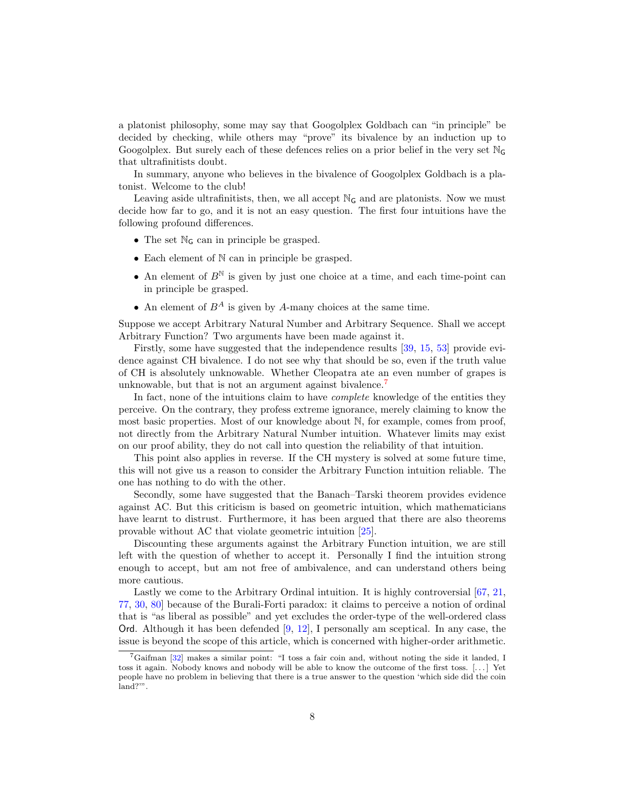a platonist philosophy, some may say that Googolplex Goldbach can "in principle" be decided by checking, while others may "prove" its bivalence by an induction up to Googolplex. But surely each of these defences relies on a prior belief in the very set  $\mathbb{N}_{\mathsf{G}}$ that ultrafinitists doubt.

In summary, anyone who believes in the bivalence of Googolplex Goldbach is a platonist. Welcome to the club!

Leaving aside ultrafinitists, then, we all accept  $\mathbb{N}_{\mathsf{G}}$  and are platonists. Now we must decide how far to go, and it is not an easy question. The first four intuitions have the following profound differences.

- The set  $\mathbb{N}_G$  can in principle be grasped.
- Each element of N can in principle be grasped.
- An element of  $B^{\mathbb{N}}$  is given by just one choice at a time, and each time-point can in principle be grasped.
- An element of  $B^A$  is given by A-many choices at the same time.

Suppose we accept Arbitrary Natural Number and Arbitrary Sequence. Shall we accept Arbitrary Function? Two arguments have been made against it.

Firstly, some have suggested that the independence results [\[39,](#page-19-2) [15,](#page-17-2) [53\]](#page-20-2) provide evidence against CH bivalence. I do not see why that should be so, even if the truth value of CH is absolutely unknowable. Whether Cleopatra ate an even number of grapes is unknowable, but that is not an argument against bivalence.<sup>[7](#page-7-0)</sup>

In fact, none of the intuitions claim to have *complete* knowledge of the entities they perceive. On the contrary, they profess extreme ignorance, merely claiming to know the most basic properties. Most of our knowledge about N, for example, comes from proof, not directly from the Arbitrary Natural Number intuition. Whatever limits may exist on our proof ability, they do not call into question the reliability of that intuition.

This point also applies in reverse. If the CH mystery is solved at some future time, this will not give us a reason to consider the Arbitrary Function intuition reliable. The one has nothing to do with the other.

Secondly, some have suggested that the Banach–Tarski theorem provides evidence against AC. But this criticism is based on geometric intuition, which mathematicians have learnt to distrust. Furthermore, it has been argued that there are also theorems provable without AC that violate geometric intuition [\[25\]](#page-18-4).

Discounting these arguments against the Arbitrary Function intuition, we are still left with the question of whether to accept it. Personally I find the intuition strong enough to accept, but am not free of ambivalence, and can understand others being more cautious.

Lastly we come to the Arbitrary Ordinal intuition. It is highly controversial [\[67,](#page-21-2) [21,](#page-18-5) [77,](#page-21-3) [30,](#page-18-6) [80\]](#page-21-4) because of the Burali-Forti paradox: it claims to perceive a notion of ordinal that is "as liberal as possible" and yet excludes the order-type of the well-ordered class Ord. Although it has been defended [\[9,](#page-17-3) [12\]](#page-17-4), I personally am sceptical. In any case, the issue is beyond the scope of this article, which is concerned with higher-order arithmetic.

<span id="page-7-0"></span><sup>7</sup>Gaifman [\[32\]](#page-18-1) makes a similar point: "I toss a fair coin and, without noting the side it landed, I toss it again. Nobody knows and nobody will be able to know the outcome of the first toss. [. . . ] Yet people have no problem in believing that there is a true answer to the question 'which side did the coin land?'".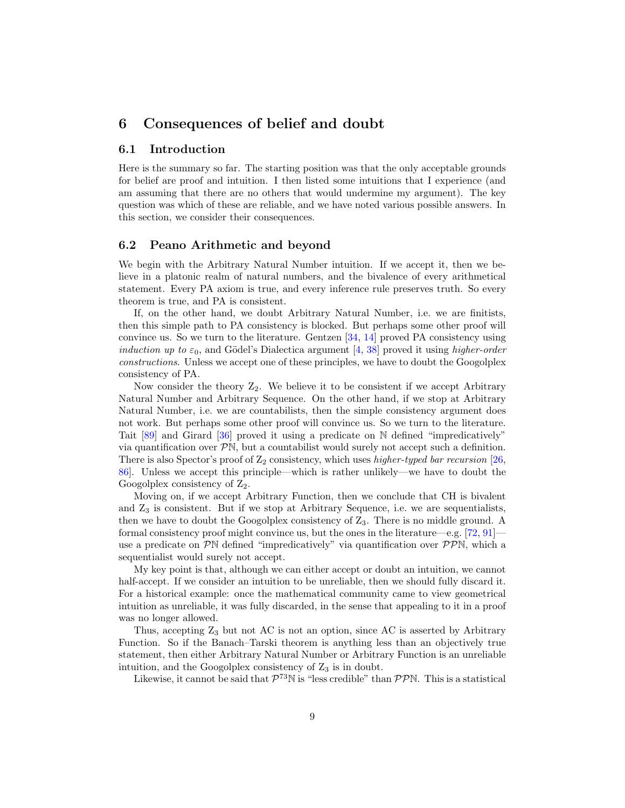### <span id="page-8-0"></span>6 Consequences of belief and doubt

### 6.1 Introduction

Here is the summary so far. The starting position was that the only acceptable grounds for belief are proof and intuition. I then listed some intuitions that I experience (and am assuming that there are no others that would undermine my argument). The key question was which of these are reliable, and we have noted various possible answers. In this section, we consider their consequences.

#### 6.2 Peano Arithmetic and beyond

We begin with the Arbitrary Natural Number intuition. If we accept it, then we believe in a platonic realm of natural numbers, and the bivalence of every arithmetical statement. Every PA axiom is true, and every inference rule preserves truth. So every theorem is true, and PA is consistent.

If, on the other hand, we doubt Arbitrary Natural Number, i.e. we are finitists, then this simple path to PA consistency is blocked. But perhaps some other proof will convince us. So we turn to the literature. Gentzen  $[34, 14]$  $[34, 14]$  $[34, 14]$  proved PA consistency using *induction up to*  $\varepsilon_0$ , and Gödel's Dialectica argument [\[4,](#page-17-6) [38\]](#page-19-3) proved it using *higher-order* constructions. Unless we accept one of these principles, we have to doubt the Googolplex consistency of PA.

Now consider the theory  $Z_2$ . We believe it to be consistent if we accept Arbitrary Natural Number and Arbitrary Sequence. On the other hand, if we stop at Arbitrary Natural Number, i.e. we are countabilists, then the simple consistency argument does not work. But perhaps some other proof will convince us. So we turn to the literature. Tait [\[89\]](#page-22-11) and Girard [\[36\]](#page-19-4) proved it using a predicate on N defined "impredicatively" via quantification over  $\mathcal{P}\mathbb{N}$ , but a countabilist would surely not accept such a definition. There is also Spector's proof of  $Z_2$  consistency, which uses *higher-typed bar recursion* [\[26,](#page-18-8) [86\]](#page-22-12). Unless we accept this principle—which is rather unlikely—we have to doubt the Googolplex consistency of  $Z_2$ .

Moving on, if we accept Arbitrary Function, then we conclude that CH is bivalent and  $Z_3$  is consistent. But if we stop at Arbitrary Sequence, i.e. we are sequentialists, then we have to doubt the Googolplex consistency of  $Z_3$ . There is no middle ground. A formal consistency proof might convince us, but the ones in the literature—e.g. [\[72,](#page-21-5) [91\]](#page-22-13) use a predicate on  $\mathcal{P} \mathbb{N}$  defined "impredicatively" via quantification over  $\mathcal{P} \mathcal{P} \mathbb{N}$ , which a sequentialist would surely not accept.

My key point is that, although we can either accept or doubt an intuition, we cannot half-accept. If we consider an intuition to be unreliable, then we should fully discard it. For a historical example: once the mathematical community came to view geometrical intuition as unreliable, it was fully discarded, in the sense that appealing to it in a proof was no longer allowed.

Thus, accepting  $Z_3$  but not AC is not an option, since AC is asserted by Arbitrary Function. So if the Banach–Tarski theorem is anything less than an objectively true statement, then either Arbitrary Natural Number or Arbitrary Function is an unreliable intuition, and the Googolplex consistency of  $Z_3$  is in doubt.

Likewise, it cannot be said that  $\mathcal{P}^{73}$ N is "less credible" than  $\mathcal{PPN}$ . This is a statistical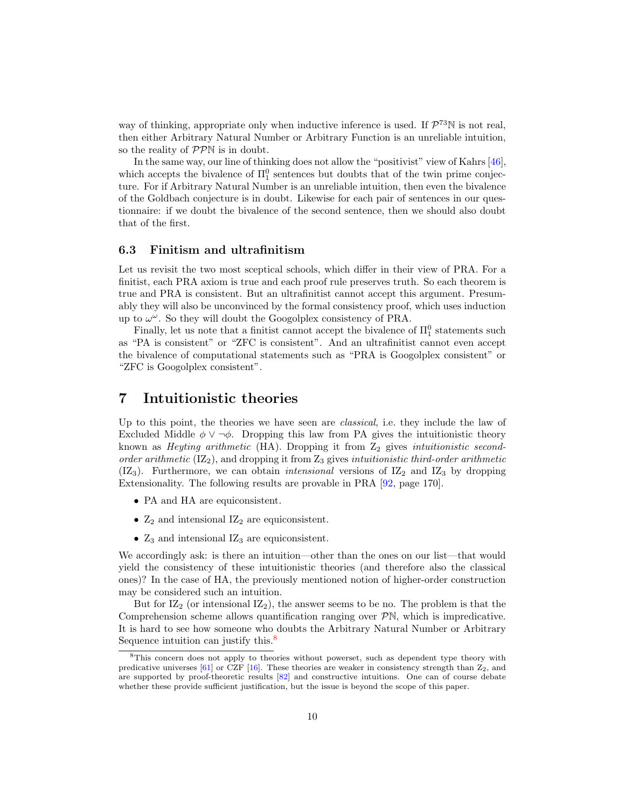way of thinking, appropriate only when inductive inference is used. If  $\mathcal{P}^{73}$  N is not real, then either Arbitrary Natural Number or Arbitrary Function is an unreliable intuition, so the reality of  $\mathcal{PPN}$  is in doubt.

In the same way, our line of thinking does not allow the "positivist" view of Kahrs [\[46\]](#page-19-5), which accepts the bivalence of  $\Pi_1^0$  sentences but doubts that of the twin prime conjecture. For if Arbitrary Natural Number is an unreliable intuition, then even the bivalence of the Goldbach conjecture is in doubt. Likewise for each pair of sentences in our questionnaire: if we doubt the bivalence of the second sentence, then we should also doubt that of the first.

#### 6.3 Finitism and ultrafinitism

Let us revisit the two most sceptical schools, which differ in their view of PRA. For a finitist, each PRA axiom is true and each proof rule preserves truth. So each theorem is true and PRA is consistent. But an ultrafinitist cannot accept this argument. Presumably they will also be unconvinced by the formal consistency proof, which uses induction up to  $\omega^{\omega}$ . So they will doubt the Googolplex consistency of PRA.

Finally, let us note that a finitist cannot accept the bivalence of  $\Pi_1^0$  statements such as "PA is consistent" or "ZFC is consistent". And an ultrafinitist cannot even accept the bivalence of computational statements such as "PRA is Googolplex consistent" or "ZFC is Googolplex consistent".

### <span id="page-9-0"></span>7 Intuitionistic theories

Up to this point, the theories we have seen are *classical*, i.e. they include the law of Excluded Middle  $\phi \vee \neg \phi$ . Dropping this law from PA gives the intuitionistic theory known as *Heyting arithmetic* (HA). Dropping it from  $Z_2$  gives *intuitionistic second*order arithmetic  $(IZ_2)$ , and dropping it from  $Z_3$  gives intuitionistic third-order arithmetic  $(IZ_3)$ . Furthermore, we can obtain *intensional* versions of  $IZ_2$  and  $IZ_3$  by dropping Extensionality. The following results are provable in PRA [\[92,](#page-22-14) page 170].

- PA and HA are equiconsistent.
- $Z_2$  and intensional  $IZ_2$  are equiconsistent.
- $Z_3$  and intensional  $IZ_3$  are equiconsistent.

We accordingly ask: is there an intuition—other than the ones on our list—that would yield the consistency of these intuitionistic theories (and therefore also the classical ones)? In the case of HA, the previously mentioned notion of higher-order construction may be considered such an intuition.

But for  $IZ_2$  (or intensional  $IZ_2$ ), the answer seems to be no. The problem is that the Comprehension scheme allows quantification ranging over  $\mathcal{P}N$ , which is impredicative. It is hard to see how someone who doubts the Arbitrary Natural Number or Arbitrary Sequence intuition can justify this.<sup>[8](#page-9-1)</sup>

<span id="page-9-1"></span><sup>&</sup>lt;sup>8</sup>This concern does not apply to theories without powerset, such as dependent type theory with predicative universes  $[61]$  or CZF  $[16]$ . These theories are weaker in consistency strength than  $Z_2$ , and are supported by proof-theoretic results [\[82\]](#page-21-6) and constructive intuitions. One can of course debate whether these provide sufficient justification, but the issue is beyond the scope of this paper.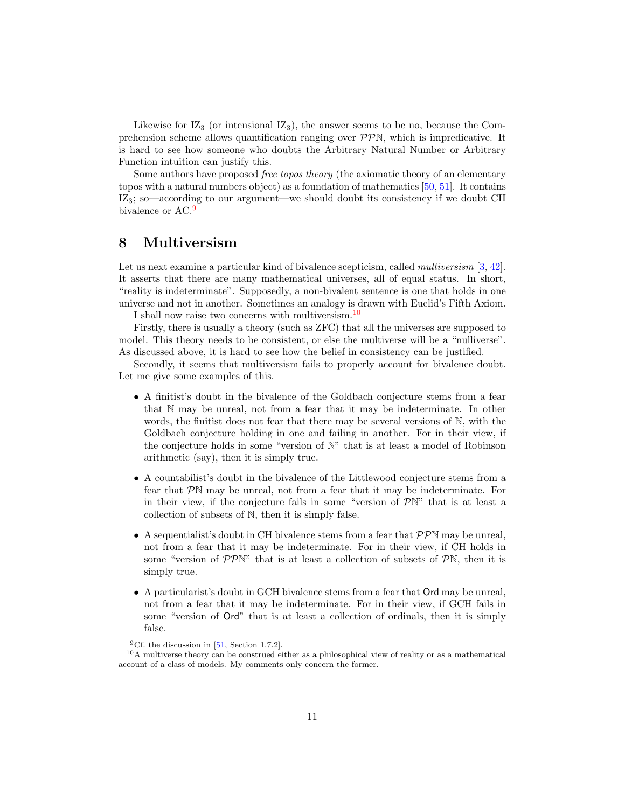Likewise for  $IZ_3$  (or intensional  $IZ_3$ ), the answer seems to be no, because the Comprehension scheme allows quantification ranging over  $\mathcal{PPN}$ , which is impredicative. It is hard to see how someone who doubts the Arbitrary Natural Number or Arbitrary Function intuition can justify this.

Some authors have proposed free topos theory (the axiomatic theory of an elementary topos with a natural numbers object) as a foundation of mathematics [\[50,](#page-19-6) [51\]](#page-20-4). It contains IZ3; so—according to our argument—we should doubt its consistency if we doubt CH bivalence or AC.<sup>[9](#page-10-1)</sup>

### <span id="page-10-0"></span>8 Multiversism

Let us next examine a particular kind of bivalence scepticism, called *multiversism* [\[3,](#page-17-8) [42\]](#page-19-7). It asserts that there are many mathematical universes, all of equal status. In short, "reality is indeterminate". Supposedly, a non-bivalent sentence is one that holds in one universe and not in another. Sometimes an analogy is drawn with Euclid's Fifth Axiom. I shall now raise two concerns with multiversism.[10](#page-10-2)

Firstly, there is usually a theory (such as ZFC) that all the universes are supposed to model. This theory needs to be consistent, or else the multiverse will be a "nulliverse".

As discussed above, it is hard to see how the belief in consistency can be justified.

Secondly, it seems that multiversism fails to properly account for bivalence doubt. Let me give some examples of this.

- A finitist's doubt in the bivalence of the Goldbach conjecture stems from a fear that N may be unreal, not from a fear that it may be indeterminate. In other words, the finitist does not fear that there may be several versions of N, with the Goldbach conjecture holding in one and failing in another. For in their view, if the conjecture holds in some "version of N" that is at least a model of Robinson arithmetic (say), then it is simply true.
- A countabilist's doubt in the bivalence of the Littlewood conjecture stems from a fear that PN may be unreal, not from a fear that it may be indeterminate. For in their view, if the conjecture fails in some "version of  $\mathcal{P}N$ " that is at least a collection of subsets of N, then it is simply false.
- A sequentialist's doubt in CH bivalence stems from a fear that  $\mathcal{PPN}$  may be unreal, not from a fear that it may be indeterminate. For in their view, if CH holds in some "version of  $\mathcal{PP}^{\mathbb{N}}$ " that is at least a collection of subsets of  $\mathcal{P}^{\mathbb{N}}$ , then it is simply true.
- A particularist's doubt in GCH bivalence stems from a fear that Ord may be unreal, not from a fear that it may be indeterminate. For in their view, if GCH fails in some "version of Ord" that is at least a collection of ordinals, then it is simply false.

<span id="page-10-2"></span><span id="page-10-1"></span><sup>&</sup>lt;sup>9</sup>Cf. the discussion in  $[51,$  Section 1.7.2].

<sup>10</sup>A multiverse theory can be construed either as a philosophical view of reality or as a mathematical account of a class of models. My comments only concern the former.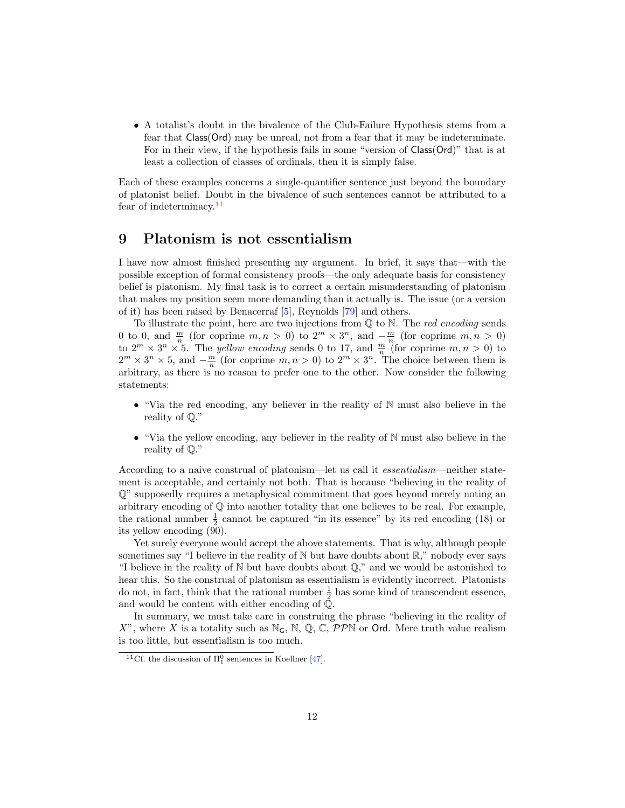• A totalist's doubt in the bivalence of the Club-Failure Hypothesis stems from a fear that Class(Ord) may be unreal, not from a fear that it may be indeterminate. For in their view, if the hypothesis fails in some "version of Class(Ord)" that is at least a collection of classes of ordinals, then it is simply false.

Each of these examples concerns a single-quantifier sentence just beyond the boundary of platonist belief. Doubt in the bivalence of such sentences cannot be attributed to a fear of indeterminacy.<sup>[11](#page-11-1)</sup>

### <span id="page-11-0"></span>9 Platonism is not essentialism

I have now almost finished presenting my argument. In brief, it says that—with the possible exception of formal consistency proofs—the only adequate basis for consistency belief is platonism. My final task is to correct a certain misunderstanding of platonism that makes my position seem more demanding than it actually is. The issue (or a version of it) has been raised by Benacerraf [\[5\]](#page-17-9), Reynolds [\[79\]](#page-21-7) and others.

To illustrate the point, here are two injections from  $\mathbb Q$  to N. The *red encoding* sends 0 to 0, and  $\frac{m}{n}$  (for coprime  $m, n > 0$ ) to  $2^m \times 3^n$ , and  $-\frac{m}{n}$  (for coprime  $m, n > 0$ ) to  $2^m \times 3^n \times 5$ . The *yellow encoding* sends 0 to 17, and  $\frac{m}{n}$  (for coprime  $m, n > 0$ ) to  $2^m \times 3^n \times 5$ , and  $-\frac{m}{n}$  (for coprime  $m, n > 0$ ) to  $2^m \times 3^n$ . The choice between them is arbitrary, as there is no reason to prefer one to the other. Now consider the following statements:

- "Via the red encoding, any believer in the reality of  $\mathbb N$  must also believe in the reality of Q."
- "Via the yellow encoding, any believer in the reality of N must also believe in the reality of Q."

According to a naive construal of platonism—let us call it essentialism—neither statement is acceptable, and certainly not both. That is because "believing in the reality of Q" supposedly requires a metaphysical commitment that goes beyond merely noting an arbitrary encoding of  $\mathbb Q$  into another totality that one believes to be real. For example, the rational number  $\frac{1}{2}$  cannot be captured "in its essence" by its red encoding (18) or its yellow encoding (90).

Yet surely everyone would accept the above statements. That is why, although people sometimes say "I believe in the reality of  $\mathbb N$  but have doubts about  $\mathbb R$ ," nobody ever says "I believe in the reality of  $\mathbb N$  but have doubts about  $\mathbb Q$ ," and we would be astonished to hear this. So the construal of platonism as essentialism is evidently incorrect. Platonists do not, in fact, think that the rational number  $\frac{1}{2}$  has some kind of transcendent essence, and would be content with either encoding of Q.

In summary, we must take care in construing the phrase "believing in the reality of X", where X is a totality such as  $\mathbb{N}_G$ ,  $\mathbb{N}, \mathbb{Q}, \mathbb{C}, \mathcal{PP}\mathbb{N}$  or Ord. Mere truth value realism is too little, but essentialism is too much.

<span id="page-11-1"></span><sup>&</sup>lt;sup>11</sup>Cf. the discussion of  $\Pi_1^0$  sentences in Koellner [\[47\]](#page-19-8).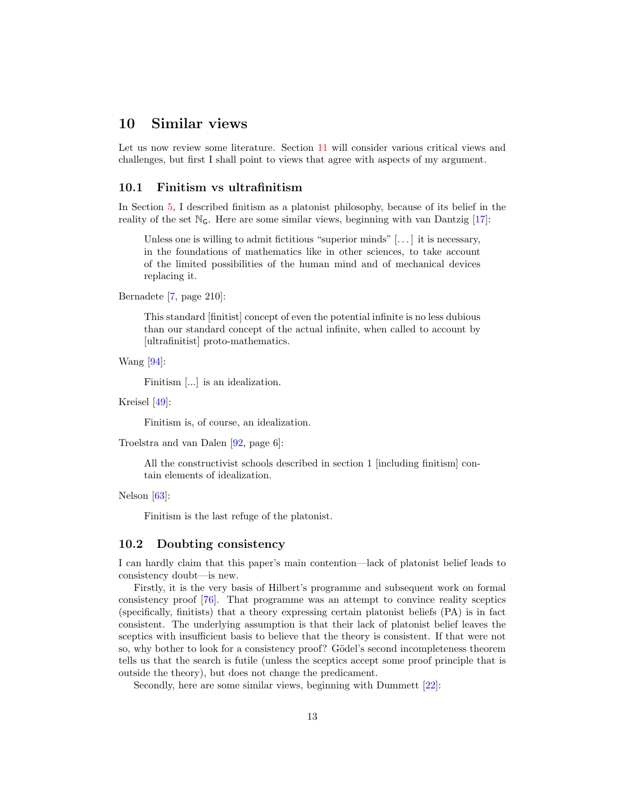### <span id="page-12-0"></span>10 Similar views

Let us now review some literature. Section [11](#page-14-0) will consider various critical views and challenges, but first I shall point to views that agree with aspects of my argument.

#### 10.1 Finitism vs ultrafinitism

In Section [5,](#page-6-0) I described finitism as a platonist philosophy, because of its belief in the reality of the set  $\mathbb{N}_G$ . Here are some similar views, beginning with van Dantzig [\[17\]](#page-17-0):

Unless one is willing to admit fictitious "superior minds"  $[\,\ldots\,]$  it is necessary, in the foundations of mathematics like in other sciences, to take account of the limited possibilities of the human mind and of mechanical devices replacing it.

Bernadete [\[7,](#page-17-10) page 210]:

This standard [finitist] concept of even the potential infinite is no less dubious than our standard concept of the actual infinite, when called to account by [ultrafinitist] proto-mathematics.

Wang [\[94\]](#page-22-8):

Finitism [...] is an idealization.

Kreisel [\[49\]](#page-19-9):

Finitism is, of course, an idealization.

Troelstra and van Dalen [\[92,](#page-22-14) page 6]:

All the constructivist schools described in section 1 [including finitism] contain elements of idealization.

Nelson [\[63\]](#page-20-5):

Finitism is the last refuge of the platonist.

#### 10.2 Doubting consistency

I can hardly claim that this paper's main contention—lack of platonist belief leads to consistency doubt—is new.

Firstly, it is the very basis of Hilbert's programme and subsequent work on formal consistency proof [\[76\]](#page-21-8). That programme was an attempt to convince reality sceptics (specifically, finitists) that a theory expressing certain platonist beliefs (PA) is in fact consistent. The underlying assumption is that their lack of platonist belief leaves the sceptics with insufficient basis to believe that the theory is consistent. If that were not so, why bother to look for a consistency proof? Gödel's second incompleteness theorem tells us that the search is futile (unless the sceptics accept some proof principle that is outside the theory), but does not change the predicament.

Secondly, here are some similar views, beginning with Dummett [\[22\]](#page-18-9):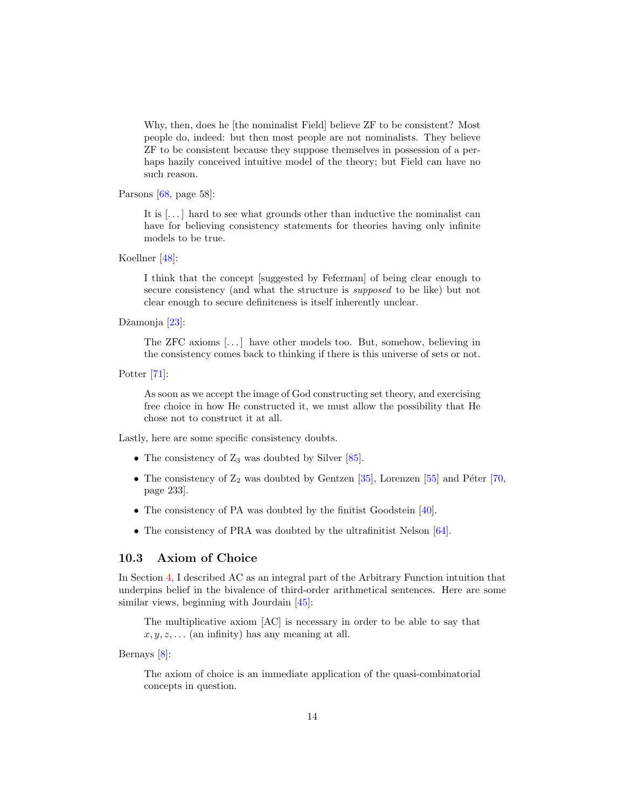Why, then, does he [the nominalist Field] believe ZF to be consistent? Most people do, indeed: but then most people are not nominalists. They believe ZF to be consistent because they suppose themselves in possession of a perhaps hazily conceived intuitive model of the theory; but Field can have no such reason.

Parsons [\[68,](#page-21-9) page 58]:

It is  $\left[\ldots\right]$  hard to see what grounds other than inductive the nominalist can have for believing consistency statements for theories having only infinite models to be true.

Koellner [\[48\]](#page-19-10):

I think that the concept [suggested by Feferman] of being clear enough to secure consistency (and what the structure is supposed to be like) but not clear enough to secure definiteness is itself inherently unclear.

Džamonja [\[23\]](#page-18-10):

The ZFC axioms [. . . ] have other models too. But, somehow, believing in the consistency comes back to thinking if there is this universe of sets or not.

Potter [\[71\]](#page-21-10):

As soon as we accept the image of God constructing set theory, and exercising free choice in how He constructed it, we must allow the possibility that He chose not to construct it at all.

Lastly, here are some specific consistency doubts.

- The consistency of  $Z_3$  was doubted by Silver [\[85\]](#page-22-15).
- The consistency of  $\mathbb{Z}_2$  was doubted by Gentzen [\[35\]](#page-19-11), Lorenzen [\[55\]](#page-20-6) and Péter [\[70,](#page-21-11) page 233].
- The consistency of PA was doubted by the finitist Goodstein [\[40\]](#page-19-12).
- The consistency of PRA was doubted by the ultrafinitist Nelson [\[64\]](#page-20-7).

#### 10.3 Axiom of Choice

In Section [4,](#page-5-0) I described AC as an integral part of the Arbitrary Function intuition that underpins belief in the bivalence of third-order arithmetical sentences. Here are some similar views, beginning with Jourdain [\[45\]](#page-19-13):

The multiplicative axiom [AC] is necessary in order to be able to say that  $x, y, z, \ldots$  (an infinity) has any meaning at all.

Bernays [\[8\]](#page-17-11):

The axiom of choice is an immediate application of the quasi-combinatorial concepts in question.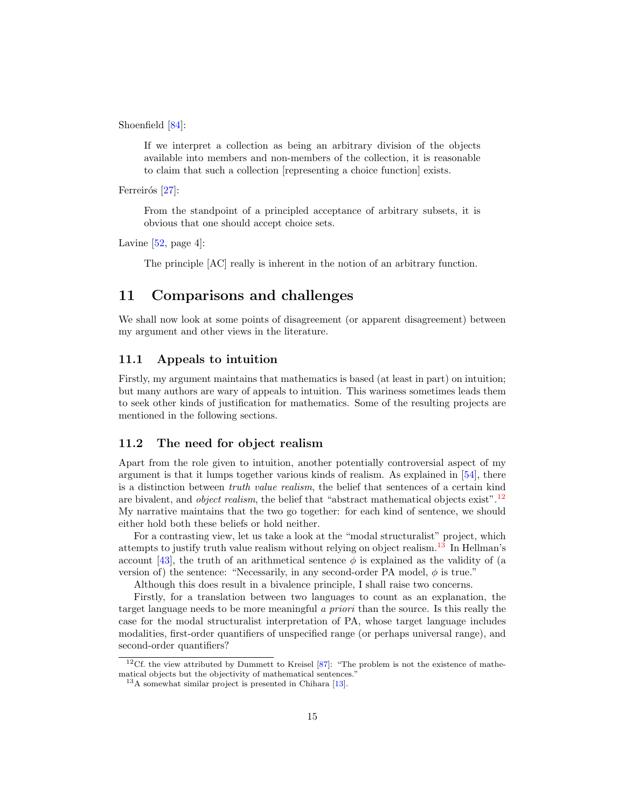Shoenfield [\[84\]](#page-22-16):

If we interpret a collection as being an arbitrary division of the objects available into members and non-members of the collection, it is reasonable to claim that such a collection [representing a choice function] exists.

Ferreirós [\[27\]](#page-18-11):

From the standpoint of a principled acceptance of arbitrary subsets, it is obvious that one should accept choice sets.

Lavine  $[52, \text{page 4}]$  $[52, \text{page 4}]$ :

The principle [AC] really is inherent in the notion of an arbitrary function.

# <span id="page-14-0"></span>11 Comparisons and challenges

We shall now look at some points of disagreement (or apparent disagreement) between my argument and other views in the literature.

#### 11.1 Appeals to intuition

Firstly, my argument maintains that mathematics is based (at least in part) on intuition; but many authors are wary of appeals to intuition. This wariness sometimes leads them to seek other kinds of justification for mathematics. Some of the resulting projects are mentioned in the following sections.

#### 11.2 The need for object realism

Apart from the role given to intuition, another potentially controversial aspect of my argument is that it lumps together various kinds of realism. As explained in [\[54\]](#page-20-9), there is a distinction between truth value realism, the belief that sentences of a certain kind are bivalent, and *object realism*, the belief that "abstract mathematical objects exist".<sup>[12](#page-14-1)</sup> My narrative maintains that the two go together: for each kind of sentence, we should either hold both these beliefs or hold neither.

For a contrasting view, let us take a look at the "modal structuralist" project, which attempts to justify truth value realism without relying on object realism.[13](#page-14-2) In Hellman's account [\[43\]](#page-19-14), the truth of an arithmetical sentence  $\phi$  is explained as the validity of (a version of) the sentence: "Necessarily, in any second-order PA model,  $\phi$  is true."

Although this does result in a bivalence principle, I shall raise two concerns.

Firstly, for a translation between two languages to count as an explanation, the target language needs to be more meaningful a priori than the source. Is this really the case for the modal structuralist interpretation of PA, whose target language includes modalities, first-order quantifiers of unspecified range (or perhaps universal range), and second-order quantifiers?

<span id="page-14-1"></span><sup>12</sup>Cf. the view attributed by Dummett to Kreisel [\[87\]](#page-22-17): "The problem is not the existence of mathematical objects but the objectivity of mathematical sentences.'

<span id="page-14-2"></span><sup>13</sup>A somewhat similar project is presented in Chihara [\[13\]](#page-17-12).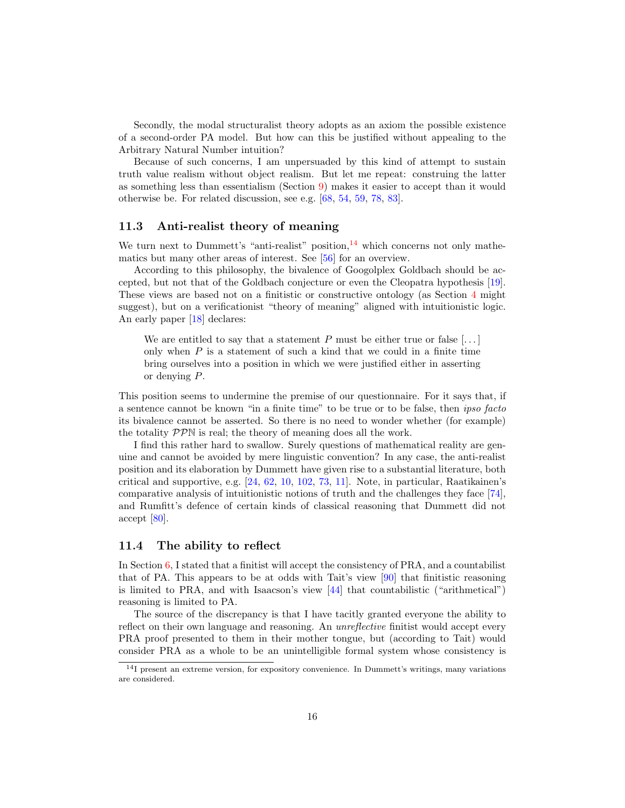Secondly, the modal structuralist theory adopts as an axiom the possible existence of a second-order PA model. But how can this be justified without appealing to the Arbitrary Natural Number intuition?

Because of such concerns, I am unpersuaded by this kind of attempt to sustain truth value realism without object realism. But let me repeat: construing the latter as something less than essentialism (Section [9\)](#page-11-0) makes it easier to accept than it would otherwise be. For related discussion, see e.g. [\[68,](#page-21-9) [54,](#page-20-9) [59,](#page-20-10) [78,](#page-21-12) [83\]](#page-21-13).

#### 11.3 Anti-realist theory of meaning

We turn next to Dummett's "anti-realist" position,  $^{14}$  $^{14}$  $^{14}$  which concerns not only mathematics but many other areas of interest. See [\[56\]](#page-20-11) for an overview.

According to this philosophy, the bivalence of Googolplex Goldbach should be accepted, but not that of the Goldbach conjecture or even the Cleopatra hypothesis [\[19\]](#page-18-12). These views are based not on a finitistic or constructive ontology (as Section [4](#page-5-0) might suggest), but on a verificationist "theory of meaning" aligned with intuitionistic logic. An early paper [\[18\]](#page-17-13) declares:

We are entitled to say that a statement P must be either true or false  $[\dots]$ only when  $P$  is a statement of such a kind that we could in a finite time bring ourselves into a position in which we were justified either in asserting or denying P.

This position seems to undermine the premise of our questionnaire. For it says that, if a sentence cannot be known "in a finite time" to be true or to be false, then ipso facto its bivalence cannot be asserted. So there is no need to wonder whether (for example) the totality PPN is real; the theory of meaning does all the work.

I find this rather hard to swallow. Surely questions of mathematical reality are genuine and cannot be avoided by mere linguistic convention? In any case, the anti-realist position and its elaboration by Dummett have given rise to a substantial literature, both critical and supportive, e.g. [\[24,](#page-18-13) [62,](#page-20-12) [10,](#page-17-14) [102,](#page-22-18) [73,](#page-21-14) [11\]](#page-17-15). Note, in particular, Raatikainen's comparative analysis of intuitionistic notions of truth and the challenges they face [\[74\]](#page-21-15), and Rumfitt's defence of certain kinds of classical reasoning that Dummett did not accept [\[80\]](#page-21-4).

#### 11.4 The ability to reflect

In Section [6,](#page-8-0) I stated that a finitist will accept the consistency of PRA, and a countabilist that of PA. This appears to be at odds with Tait's view [\[90\]](#page-22-9) that finitistic reasoning is limited to PRA, and with Isaacson's view [\[44\]](#page-19-15) that countabilistic ("arithmetical") reasoning is limited to PA.

The source of the discrepancy is that I have tacitly granted everyone the ability to reflect on their own language and reasoning. An *unreflective* finitist would accept every PRA proof presented to them in their mother tongue, but (according to Tait) would consider PRA as a whole to be an unintelligible formal system whose consistency is

<span id="page-15-0"></span><sup>&</sup>lt;sup>14</sup>I present an extreme version, for expository convenience. In Dummett's writings, many variations are considered.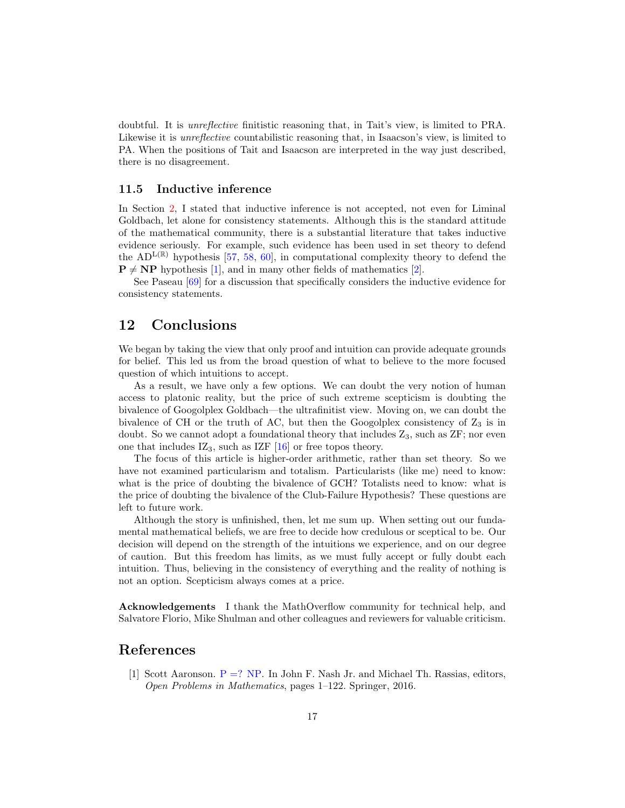doubtful. It is unreflective finitistic reasoning that, in Tait's view, is limited to PRA. Likewise it is *unreflective* countabilistic reasoning that, in Isaacson's view, is limited to PA. When the positions of Tait and Isaacson are interpreted in the way just described, there is no disagreement.

#### 11.5 Inductive inference

In Section [2,](#page-1-0) I stated that inductive inference is not accepted, not even for Liminal Goldbach, let alone for consistency statements. Although this is the standard attitude of the mathematical community, there is a substantial literature that takes inductive evidence seriously. For example, such evidence has been used in set theory to defend the AD<sup>L(R)</sup> hypothesis [\[57,](#page-20-13) [58,](#page-20-14) [60\]](#page-20-15), in computational complexity theory to defend the  $P \neq NP$  hypothesis [\[1\]](#page-16-1), and in many other fields of mathematics [\[2\]](#page-17-16).

See Paseau [\[69\]](#page-21-16) for a discussion that specifically considers the inductive evidence for consistency statements.

### <span id="page-16-0"></span>12 Conclusions

We began by taking the view that only proof and intuition can provide adequate grounds for belief. This led us from the broad question of what to believe to the more focused question of which intuitions to accept.

As a result, we have only a few options. We can doubt the very notion of human access to platonic reality, but the price of such extreme scepticism is doubting the bivalence of Googolplex Goldbach—the ultrafinitist view. Moving on, we can doubt the bivalence of CH or the truth of AC, but then the Googolplex consistency of  $Z_3$  is in doubt. So we cannot adopt a foundational theory that includes  $Z_3$ , such as  $ZF$ ; nor even one that includes  $IZ_3$ , such as IZF [\[16\]](#page-17-7) or free topos theory.

The focus of this article is higher-order arithmetic, rather than set theory. So we have not examined particularism and totalism. Particularists (like me) need to know: what is the price of doubting the bivalence of GCH? Totalists need to know: what is the price of doubting the bivalence of the Club-Failure Hypothesis? These questions are left to future work.

Although the story is unfinished, then, let me sum up. When setting out our fundamental mathematical beliefs, we are free to decide how credulous or sceptical to be. Our decision will depend on the strength of the intuitions we experience, and on our degree of caution. But this freedom has limits, as we must fully accept or fully doubt each intuition. Thus, believing in the consistency of everything and the reality of nothing is not an option. Scepticism always comes at a price.

Acknowledgements I thank the MathOverflow community for technical help, and Salvatore Florio, Mike Shulman and other colleagues and reviewers for valuable criticism.

### References

<span id="page-16-1"></span>[1] Scott Aaronson.  $P = ? NP$ . In John F. Nash Jr. and Michael Th. Rassias, editors, Open Problems in Mathematics, pages 1–122. Springer, 2016.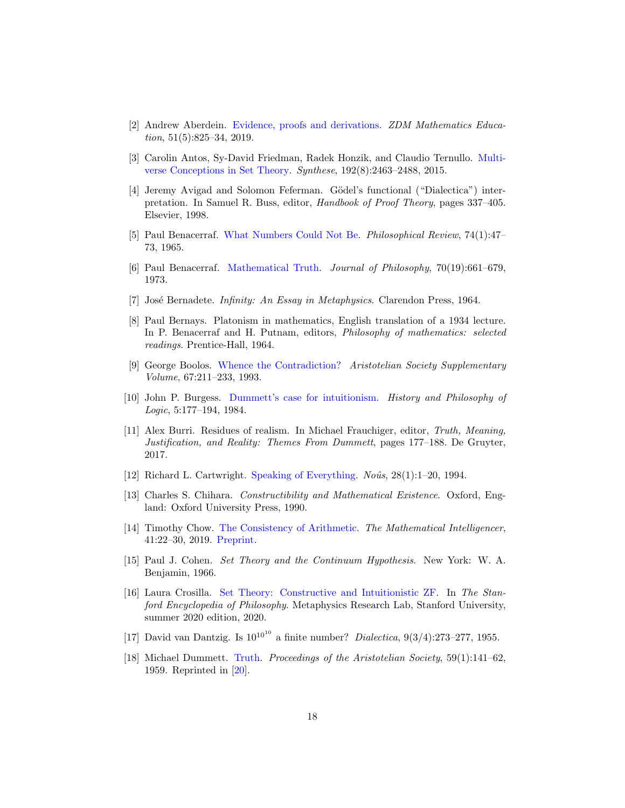- <span id="page-17-16"></span>[2] Andrew Aberdein. [Evidence, proofs and derivations.](https://link.springer.com/content/pdf/10.1007/s11858-019-01049-5.pdf) ZDM Mathematics Education,  $51(5):825-34, 2019$ .
- <span id="page-17-8"></span>[3] Carolin Antos, Sy-David Friedman, Radek Honzik, and Claudio Ternullo. [Multi](https://doi.org/10.1007/s11229-015-0819-9)[verse Conceptions in Set Theory.](https://doi.org/10.1007/s11229-015-0819-9) Synthese, 192(8):2463–2488, 2015.
- <span id="page-17-6"></span>[4] Jeremy Avigad and Solomon Feferman. Gödel's functional ("Dialectica") interpretation. In Samuel R. Buss, editor, Handbook of Proof Theory, pages 337–405. Elsevier, 1998.
- <span id="page-17-9"></span>[5] Paul Benacerraf. [What Numbers Could Not Be.](https://www.jstor.org/stable/2183530) Philosophical Review, 74(1):47– 73, 1965.
- <span id="page-17-1"></span>[6] Paul Benacerraf. [Mathematical Truth.](https://doi.org/10.2307/2025075) Journal of Philosophy, 70(19):661–679, 1973.
- <span id="page-17-10"></span>[7] José Bernadete. *Infinity: An Essay in Metaphysics*. Clarendon Press, 1964.
- <span id="page-17-11"></span>[8] Paul Bernays. Platonism in mathematics, English translation of a 1934 lecture. In P. Benacerraf and H. Putnam, editors, Philosophy of mathematics: selected readings. Prentice-Hall, 1964.
- <span id="page-17-3"></span>[9] George Boolos. [Whence the Contradiction?](https://www.jstor.org/stable/4106989) Aristotelian Society Supplementary Volume, 67:211–233, 1993.
- <span id="page-17-14"></span>[10] John P. Burgess. [Dummett's case for intuitionism.](https://doi.org/10.1080/01445348408837069) History and Philosophy of Logic, 5:177–194, 1984.
- <span id="page-17-15"></span>[11] Alex Burri. Residues of realism. In Michael Frauchiger, editor, Truth, Meaning, Justification, and Reality: Themes From Dummett, pages 177–188. De Gruyter, 2017.
- <span id="page-17-4"></span>[12] Richard L. Cartwright. [Speaking of Everything.](http://www.jstor.org/stable/2215917)  $No\hat{u}s$ , 28(1):1–20, 1994.
- <span id="page-17-12"></span>[13] Charles S. Chihara. Constructibility and Mathematical Existence. Oxford, England: Oxford University Press, 1990.
- <span id="page-17-5"></span>[14] Timothy Chow. [The Consistency of Arithmetic.](https://doi.org/10.1007/s00283-018-9837-z) The Mathematical Intelligencer, 41:22–30, 2019. [Preprint.](https://arxiv.org/abs/1807.05641)
- <span id="page-17-2"></span>[15] Paul J. Cohen. Set Theory and the Continuum Hypothesis. New York: W. A. Benjamin, 1966.
- <span id="page-17-7"></span>[16] Laura Crosilla. [Set Theory: Constructive and Intuitionistic ZF.](https://plato.stanford.edu/archives/sum2020/entries/set-theory-constructive/) In The Stanford Encyclopedia of Philosophy. Metaphysics Research Lab, Stanford University, summer 2020 edition, 2020.
- <span id="page-17-0"></span>[17] David van Dantzig. Is  $10^{10^{10}}$  a finite number? *Dialectica*,  $9(3/4):273-277$ , 1955.
- <span id="page-17-13"></span>[18] Michael Dummett. [Truth.](https://www.jstor.org/stable/4544609?seq=1) Proceedings of the Aristotelian Society, 59(1):141–62, 1959. Reprinted in [\[20\]](#page-18-14).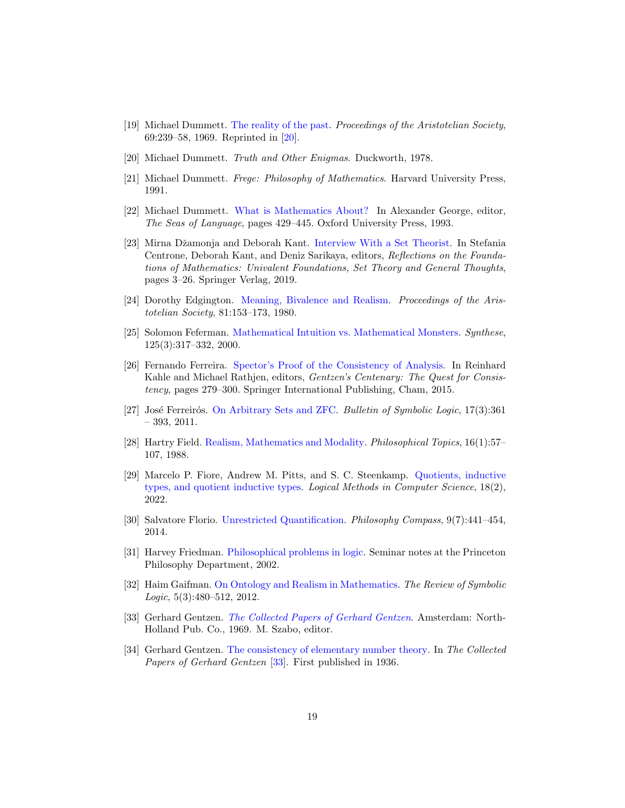- <span id="page-18-12"></span>[19] Michael Dummett. [The reality of the past.](https://www.jstor.org/stable/4544778?seq=) Proceedings of the Aristotelian Society, 69:239–58, 1969. Reprinted in [\[20\]](#page-18-14).
- <span id="page-18-14"></span>[20] Michael Dummett. Truth and Other Enigmas. Duckworth, 1978.
- <span id="page-18-5"></span>[21] Michael Dummett. Frege: Philosophy of Mathematics. Harvard University Press, 1991.
- <span id="page-18-9"></span>[22] Michael Dummett. [What is Mathematics About?](https://www.blackwellpublishing.co.uk/content/BPL_Images/Content_store/Sample_chapter/9780631218692/Jacquette.pdf) In Alexander George, editor, The Seas of Language, pages 429–445. Oxford University Press, 1993.
- <span id="page-18-10"></span>[23] Mirna Džamonja and Deborah Kant. [Interview With a Set Theorist.](https://doi.org/10.1007/978-3-030-15655-8_1) In Stefania Centrone, Deborah Kant, and Deniz Sarikaya, editors, Reflections on the Foundations of Mathematics: Univalent Foundations, Set Theory and General Thoughts, pages 3–26. Springer Verlag, 2019.
- <span id="page-18-13"></span>[24] Dorothy Edgington. [Meaning, Bivalence and Realism.](https://www.jstor.org/stable/4544971?seq) Proceedings of the Aristotelian Society, 81:153–173, 1980.
- <span id="page-18-4"></span>[25] Solomon Feferman. [Mathematical Intuition vs. Mathematical Monsters.](http://www.jstor.org/stable/20117089) Synthese, 125(3):317–332, 2000.
- <span id="page-18-8"></span>[26] Fernando Ferreira. [Spector's Proof of the Consistency of Analysis.](http://dx.doi.org/10.1007/978-3-319-10103-3_11) In Reinhard Kahle and Michael Rathjen, editors, Gentzen's Centenary: The Quest for Consistency, pages 279–300. Springer International Publishing, Cham, 2015.
- <span id="page-18-11"></span>[27] José Ferreirós. [On Arbitrary Sets and ZFC.](https://www.jstor.org/stable/41228532) Bulletin of Symbolic Logic, 17(3):361 – 393, 2011.
- <span id="page-18-3"></span>[28] Hartry Field. [Realism, Mathematics and Modality.](http://www.jstor.org/stable/43154015) Philosophical Topics, 16(1):57– 107, 1988.
- <span id="page-18-0"></span>[29] Marcelo P. Fiore, Andrew M. Pitts, and S. C. Steenkamp. [Quotients, inductive](https://doi.org/10.46298/lmcs-18(2:15)2022) [types, and quotient inductive types.](https://doi.org/10.46298/lmcs-18(2:15)2022) Logical Methods in Computer Science, 18(2), 2022.
- <span id="page-18-6"></span>[30] Salvatore Florio. [Unrestricted Quantification.](http://pure-oai.bham.ac.uk/ws/portalfiles/portal/31915939/Unrestricted_Quantification_New.pdf) Philosophy Compass, 9(7):441–454, 2014.
- <span id="page-18-2"></span>[31] Harvey Friedman. [Philosophical problems in logic.](https://cpb-us-w2.wpmucdn.com/u.osu.edu/dist/1/1952/files/2014/01/Princeton532-1pa84c4.pdf) Seminar notes at the Princeton Philosophy Department, 2002.
- <span id="page-18-1"></span>[32] Haim Gaifman. [On Ontology and Realism in Mathematics.](https://doi.org/10.1017/S1755020311000372) The Review of Symbolic Logic, 5(3):480–512, 2012.
- <span id="page-18-15"></span>[33] Gerhard Gentzen. [The Collected Papers of Gerhard Gentzen](https://www.sciencedirect.com/bookseries/studies-in-logic-and-the-foundations-of-mathematics/vol/55/suppl/C). Amsterdam: North-Holland Pub. Co., 1969. M. Szabo, editor.
- <span id="page-18-7"></span>[34] Gerhard Gentzen. [The consistency of elementary number theory.](https://www.sciencedirect.com/science/article/abs/pii/S0049237X08708231) In The Collected Papers of Gerhard Gentzen [\[33\]](#page-18-15). First published in 1936.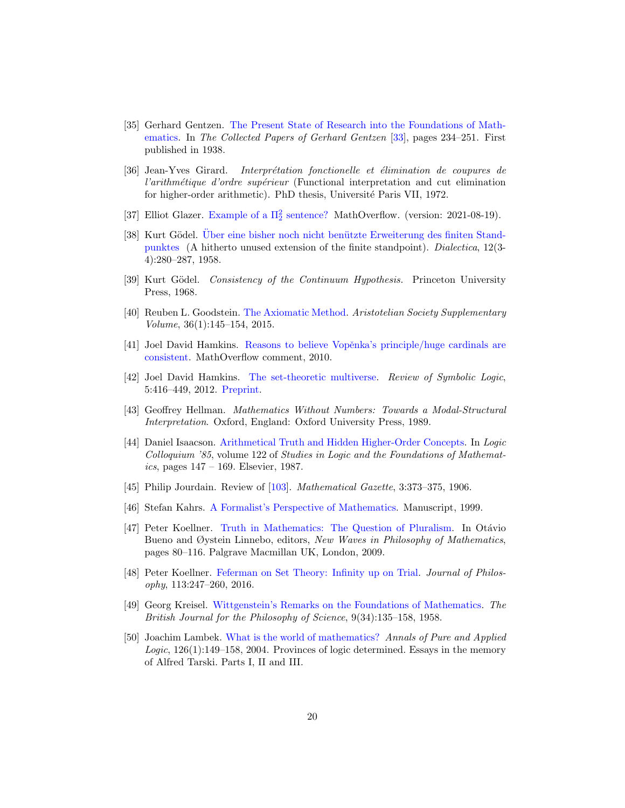- <span id="page-19-11"></span>[35] Gerhard Gentzen. [The Present State of Research into the Foundations of Math](https://www.sciencedirect.com/science/article/abs/pii/S0049237X08708267)[ematics.](https://www.sciencedirect.com/science/article/abs/pii/S0049237X08708267) In The Collected Papers of Gerhard Gentzen [\[33\]](#page-18-15), pages 234–251. First published in 1938.
- <span id="page-19-4"></span>[36] Jean-Yves Girard. Interprétation fonctionelle et élimination de coupures de l'arithmétique d'ordre supérieur (Functional interpretation and cut elimination for higher-order arithmetic). PhD thesis, Université Paris VII, 1972.
- <span id="page-19-1"></span>[37] Elliot Glazer. Example of a  $\Pi_2^2$  sentence? MathOverflow. (version: 2021-08-19).
- <span id="page-19-3"></span>[38] Kurt Gödel. Uber eine bisher noch nicht benützte Erweiterung des finiten Stand[punktes](https://doi.org/10.1111/j.1746-8361.1958.tb01464.x) (A hitherto unused extension of the finite standpoint). Dialectica, 12(3- 4):280–287, 1958.
- <span id="page-19-2"></span>[39] Kurt Gödel. Consistency of the Continuum Hypothesis. Princeton University Press, 1968.
- <span id="page-19-12"></span>[40] Reuben L. Goodstein. [The Axiomatic Method.](https://www.jstor.org/stable/pdf/4106691.pdf) Aristotelian Society Supplementary Volume, 36(1):145–154, 2015.
- <span id="page-19-0"></span>[41] Joel David Hamkins. Reasons to believe Vopěnka's principle/huge cardinals are [consistent.](https://mathoverflow.net/q/29307) MathOverflow comment, 2010.
- <span id="page-19-7"></span>[42] Joel David Hamkins. [The set-theoretic multiverse.](http://dx.doi.org/10.1017/S1755020311000359) Review of Symbolic Logic, 5:416–449, 2012. [Preprint.](https://arxiv.org/abs/1108.4223)
- <span id="page-19-14"></span>[43] Geoffrey Hellman. Mathematics Without Numbers: Towards a Modal-Structural Interpretation. Oxford, England: Oxford University Press, 1989.
- <span id="page-19-15"></span>[44] Daniel Isaacson. [Arithmetical Truth and Hidden Higher-Order Concepts.](https://doi.org/10.1016/S0049-237X(09)70552-X) In Logic Colloquium '85, volume 122 of Studies in Logic and the Foundations of Mathematics, pages  $147 - 169$ . Elsevier, 1987.
- <span id="page-19-13"></span>[45] Philip Jourdain. Review of [\[103\]](#page-22-19). Mathematical Gazette, 3:373-375, 1906.
- <span id="page-19-5"></span>[46] Stefan Kahrs. [A Formalist's Perspective of Mathematics.](http://citeseerx.ist.psu.edu/viewdoc/download?doi=10.1.1.22.2254&rep=rep1&type=pdf) Manuscript, 1999.
- <span id="page-19-8"></span>[47] Peter Koellner. [Truth in Mathematics: The Question of Pluralism.](https://doi.org/10.1057/9780230245198_5) In Otávio Bueno and Øystein Linnebo, editors, New Waves in Philosophy of Mathematics, pages 80–116. Palgrave Macmillan UK, London, 2009.
- <span id="page-19-10"></span>[48] Peter Koellner. [Feferman on Set Theory: Infinity up on Trial.](https://www.jstor.org/stable/48568253) Journal of Philosophy, 113:247–260, 2016.
- <span id="page-19-9"></span>[49] Georg Kreisel. [Wittgenstein's Remarks on the Foundations of Mathematics.](http://www.jstor.org/stable/685151) The British Journal for the Philosophy of Science, 9(34):135–158, 1958.
- <span id="page-19-6"></span>[50] Joachim Lambek. [What is the world of mathematics?](https://doi.org/10.1016/j.apal.2003.10.014) Annals of Pure and Applied Logic, 126(1):149–158, 2004. Provinces of logic determined. Essays in the memory of Alfred Tarski. Parts I, II and III.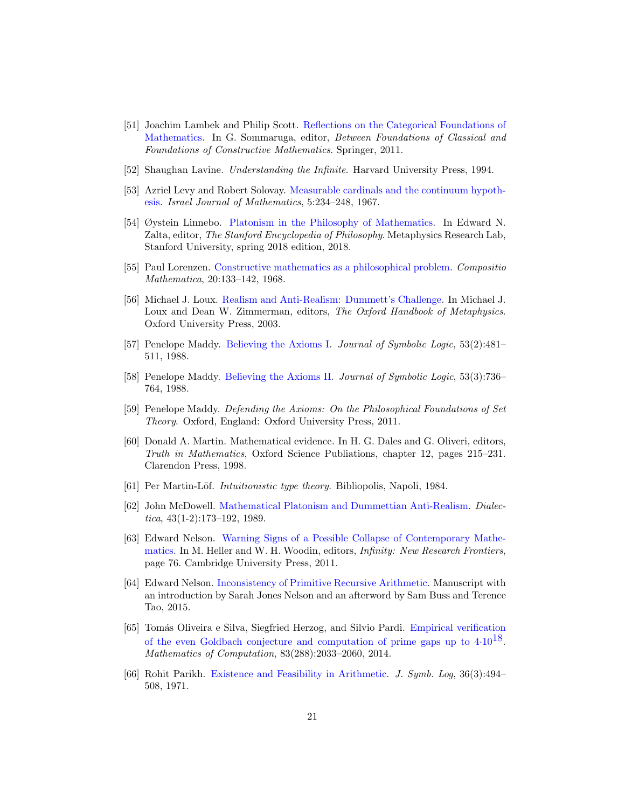- <span id="page-20-4"></span>[51] Joachim Lambek and Philip Scott. [Reflections on the Categorical Foundations of](https://doi.org/10.1007/978-94-007-0431-2_9) [Mathematics.](https://doi.org/10.1007/978-94-007-0431-2_9) In G. Sommaruga, editor, Between Foundations of Classical and Foundations of Constructive Mathematics. Springer, 2011.
- <span id="page-20-8"></span>[52] Shaughan Lavine. Understanding the Infinite. Harvard University Press, 1994.
- <span id="page-20-2"></span>[53] Azriel Levy and Robert Solovay. [Measurable cardinals and the continuum hypoth](https://doi.org/10.1007/BF02771612)[esis.](https://doi.org/10.1007/BF02771612) Israel Journal of Mathematics, 5:234–248, 1967.
- <span id="page-20-9"></span>[54] Øystein Linnebo. [Platonism in the Philosophy of Mathematics.](https://plato.stanford.edu/archives/spr2018/entries/platonism-mathematics/) In Edward N. Zalta, editor, The Stanford Encyclopedia of Philosophy. Metaphysics Research Lab, Stanford University, spring 2018 edition, 2018.
- <span id="page-20-6"></span>[55] Paul Lorenzen. [Constructive mathematics as a philosophical problem.](https://eudml.org/doc/88972) Compositio Mathematica, 20:133–142, 1968.
- <span id="page-20-11"></span>[56] Michael J. Loux. [Realism and Anti-Realism: Dummett's Challenge.](https://www.oxfordhandbooks.com/view/10.1093/oxfordhb/9780199284221.001.0001/oxfordhb-9780199284221-e-22) In Michael J. Loux and Dean W. Zimmerman, editors, The Oxford Handbook of Metaphysics. Oxford University Press, 2003.
- <span id="page-20-13"></span>[57] Penelope Maddy. [Believing the Axioms I.](https://www.jstor.org/stable/2274520) Journal of Symbolic Logic, 53(2):481– 511, 1988.
- <span id="page-20-14"></span>[58] Penelope Maddy. [Believing the Axioms II.](https://www.jstor.org/stable/2274569) Journal of Symbolic Logic, 53(3):736– 764, 1988.
- <span id="page-20-10"></span>[59] Penelope Maddy. Defending the Axioms: On the Philosophical Foundations of Set Theory. Oxford, England: Oxford University Press, 2011.
- <span id="page-20-15"></span>[60] Donald A. Martin. Mathematical evidence. In H. G. Dales and G. Oliveri, editors, Truth in Mathematics, Oxford Science Publiations, chapter 12, pages 215–231. Clarendon Press, 1998.
- <span id="page-20-3"></span>[61] Per Martin-Löf. *Intuitionistic type theory*. Bibliopolis, Napoli, 1984.
- <span id="page-20-12"></span>[62] John McDowell. [Mathematical Platonism and Dummettian Anti-Realism.](https://doi.org/10.1111/j.1746-8361.1989.tb00937.x) Dialectica,  $43(1-2):173-192$ , 1989.
- <span id="page-20-5"></span>[63] Edward Nelson. [Warning Signs of a Possible Collapse of Contemporary Mathe](https://doi.org/10.1017/CBO9780511976889.005)[matics.](https://doi.org/10.1017/CBO9780511976889.005) In M. Heller and W. H. Woodin, editors, Infinity: New Research Frontiers, page 76. Cambridge University Press, 2011.
- <span id="page-20-7"></span>[64] Edward Nelson. [Inconsistency of Primitive Recursive Arithmetic.](https://doi.org/10.48550/arXiv.1509.09209) Manuscript with an introduction by Sarah Jones Nelson and an afterword by Sam Buss and Terence Tao, 2015.
- <span id="page-20-0"></span>[65] Tomás Oliveira e Silva, Siegfried Herzog, and Silvio Pardi. [Empirical verification](https://doi.org/10.1090/S0025-5718-2013-02787-1) of the even Goldbach conjecture and computation of prime gaps up to  $4.10^{18}$ . Mathematics of Computation, 83(288):2033–2060, 2014.
- <span id="page-20-1"></span>[66] Rohit Parikh. [Existence and Feasibility in Arithmetic.](https://www.jstor.org/stable/2269958) J. Symb. Log, 36(3):494– 508, 1971.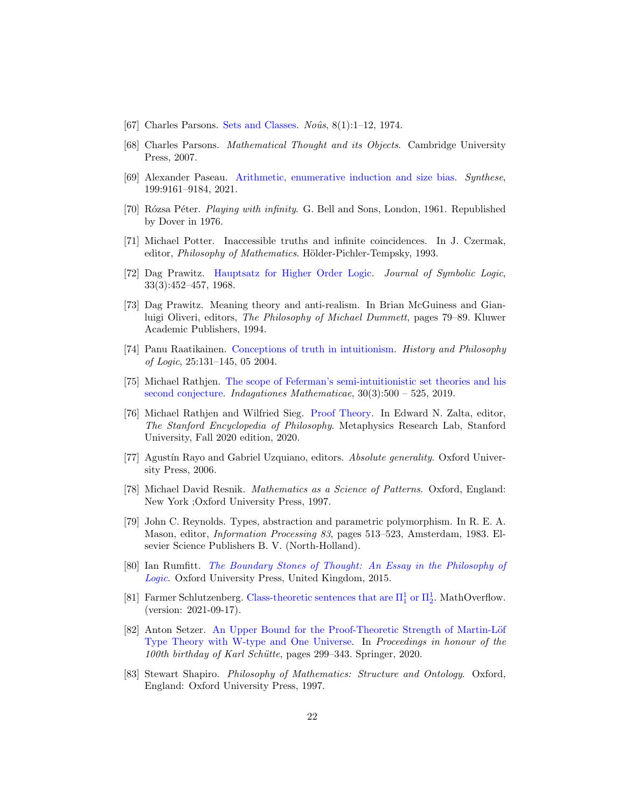- <span id="page-21-2"></span>[67] Charles Parsons. [Sets and Classes.](http://www.jstor.org/stable/2214641)  $No\hat{u}s$ ,  $8(1):1-12$ , 1974.
- <span id="page-21-9"></span>[68] Charles Parsons. Mathematical Thought and its Objects. Cambridge University Press, 2007.
- <span id="page-21-16"></span>[69] Alexander Paseau. [Arithmetic, enumerative induction and size bias.](https://doi.org/10.1007/s11229-021-03198-1) Synthese, 199:9161–9184, 2021.
- <span id="page-21-11"></span>[70] Rózsa Péter. *Playing with infinity*. G. Bell and Sons, London, 1961. Republished by Dover in 1976.
- <span id="page-21-10"></span>[71] Michael Potter. Inaccessible truths and infinite coincidences. In J. Czermak, editor, *Philosophy of Mathematics*. Hölder-Pichler-Tempsky, 1993.
- <span id="page-21-5"></span>[72] Dag Prawitz. [Hauptsatz for Higher Order Logic.](https://doi.org/10.2307/2270331) Journal of Symbolic Logic, 33(3):452–457, 1968.
- <span id="page-21-14"></span>[73] Dag Prawitz. Meaning theory and anti-realism. In Brian McGuiness and Gianluigi Oliveri, editors, The Philosophy of Michael Dummett, pages 79–89. Kluwer Academic Publishers, 1994.
- <span id="page-21-15"></span>[74] Panu Raatikainen. [Conceptions of truth in intuitionism.](https://doi.org/10.1080/014453401625669) History and Philosophy of Logic, 25:131–145, 05 2004.
- <span id="page-21-1"></span>[75] Michael Rathjen. [The scope of Feferman's semi-intuitionistic set theories and his](https://doi.org/10.1016/j.indag.2019.01.004) [second conjecture.](https://doi.org/10.1016/j.indag.2019.01.004) Indagationes Mathematicae, 30(3):500 – 525, 2019.
- <span id="page-21-8"></span>[76] Michael Rathjen and Wilfried Sieg. [Proof Theory.](https://plato.stanford.edu/archives/fall2020/entries/proof-theory/) In Edward N. Zalta, editor, The Stanford Encyclopedia of Philosophy. Metaphysics Research Lab, Stanford University, Fall 2020 edition, 2020.
- <span id="page-21-3"></span>[77] Agustín Rayo and Gabriel Uzquiano, editors. Absolute generality. Oxford University Press, 2006.
- <span id="page-21-12"></span>[78] Michael David Resnik. Mathematics as a Science of Patterns. Oxford, England: New York ;Oxford University Press, 1997.
- <span id="page-21-7"></span>[79] John C. Reynolds. Types, abstraction and parametric polymorphism. In R. E. A. Mason, editor, Information Processing 83, pages 513–523, Amsterdam, 1983. Elsevier Science Publishers B. V. (North-Holland).
- <span id="page-21-4"></span>[80] Ian Rumfitt. [The Boundary Stones of Thought: An Essay in the Philosophy of](https://oxford.universitypressscholarship.com/view/10.1093/acprof:oso/9780198733638.001.0001/acprof-9780198733638) [Logic](https://oxford.universitypressscholarship.com/view/10.1093/acprof:oso/9780198733638.001.0001/acprof-9780198733638). Oxford University Press, United Kingdom, 2015.
- <span id="page-21-0"></span>[81] Farmer Schlutzenberg. Class-theoretic sentences that are  $\Pi_1^1$  or  $\Pi_2^1$ . MathOverflow. (version: 2021-09-17).
- <span id="page-21-6"></span>[82] Anton Setzer. An Upper Bound for the Proof-Theoretic Strength of Martin-Löf [Type Theory with W-type and One Universe.](https://doi.org/10.1007/978-3-030-49424-7_16) In Proceedings in honour of the 100th birthday of Karl Schütte, pages 299–343. Springer, 2020.
- <span id="page-21-13"></span>[83] Stewart Shapiro. Philosophy of Mathematics: Structure and Ontology. Oxford, England: Oxford University Press, 1997.